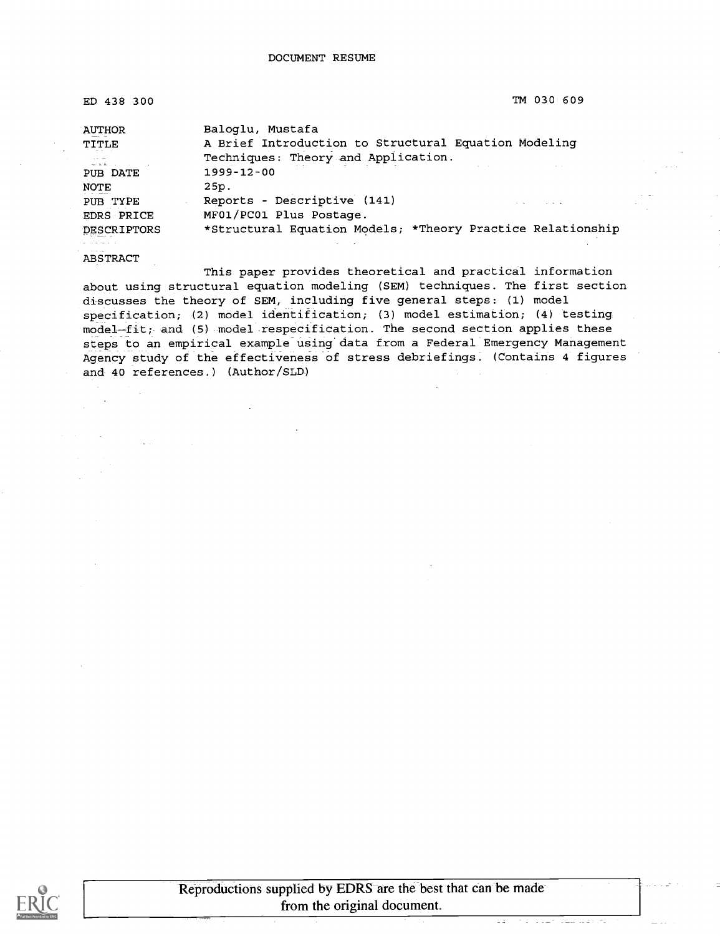| ED 438 300             | TM 030 609                                                               |            |
|------------------------|--------------------------------------------------------------------------|------------|
| <b>AUTHOR</b><br>TITLE | Baloglu, Mustafa<br>A Brief Introduction to Structural Equation Modeling |            |
|                        | Techniques: Theory and Application.                                      |            |
| PUB DATE               | $1999 - 12 - 00$                                                         | and office |
| NOTE                   | 25p.                                                                     |            |
| PUB TYPE<br>EDRS PRICE | Reports - Descriptive (141)<br>MF01/PC01 Plus Postage.                   |            |
| DESCRIPTORS            | *Structural Equation Models; *Theory Practice Relationship               |            |
|                        |                                                                          |            |

ABSTRACT

This paper provides theoretical and practical information about using structural equation modeling (SEM) techniques. The first section discusses the theory of SEM, including five general steps: (1) model specification; (2) model identification; (3) model estimation; (4) testing model-fit; and (5) model respecification. The second section applies these steps to an empirical example using data from a Federal Emergency Management Agency study of the effectiveness of stress debriefings. (Contains 4 figures and 40 references.) (Author/SLD)



 $\sim 10$ 

 $\tau_{\rm eff}$  in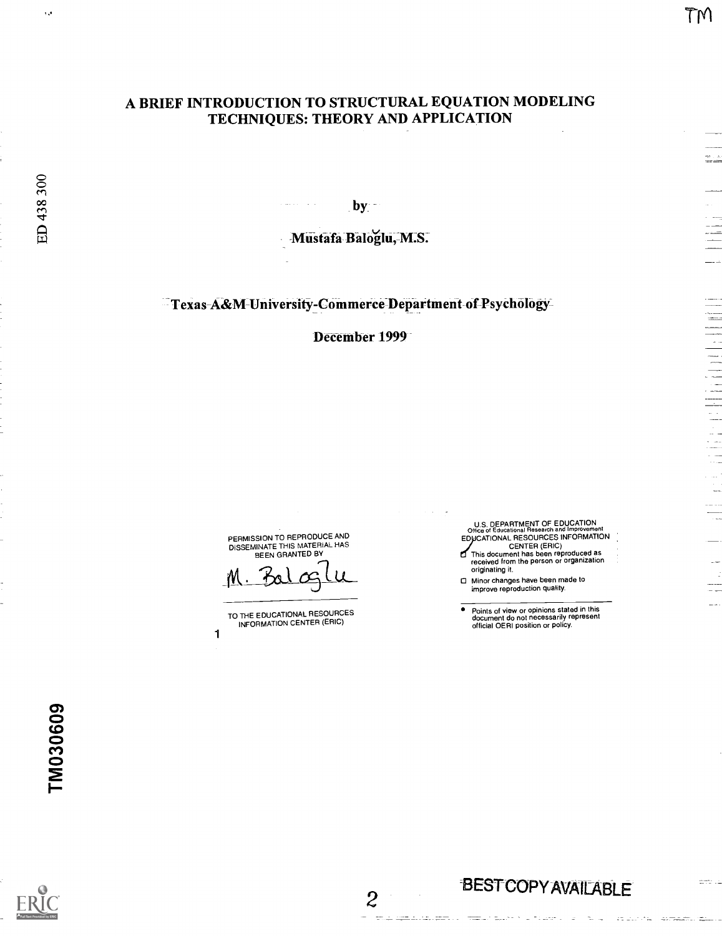## A BRIEF INTRODUCTION TO STRUCTURAL EQUATION MODELING TECHNIQUES: THEORY AND APPLICATION

 $by -$ 

-Mustafa Baloglu,-M:S.

Texas-A&M-University-Commerce-Department of Psychology

December 1999

2

in anticolari famili

PERMISSION TO REPRODUCE AND<br>DISSEMINATE THIS MATERIAL HAS<br>BEEN GRANTED BY

TO THE EDUCATIONAL RESOURCES INFORMATION CENTER (ERIC)

1

U.S. DEPARTMENT OF EDUCATION<br>Office of Educational Research and Improvement<br>EDUCATIONAL RESOURCES INFORMATION

CENTER (ERIC) This document has been reproduced as received from the person or organization originating it.

Minor changes have been made to improve reproduction quality.

Points of view or opinions stated in this document do not necessarily represent official OERI position or policy.





ф.  $\mathcal{L}^{\star}$  TM

 $\sim$ 

ED 438 300

 $\mathcal{A}$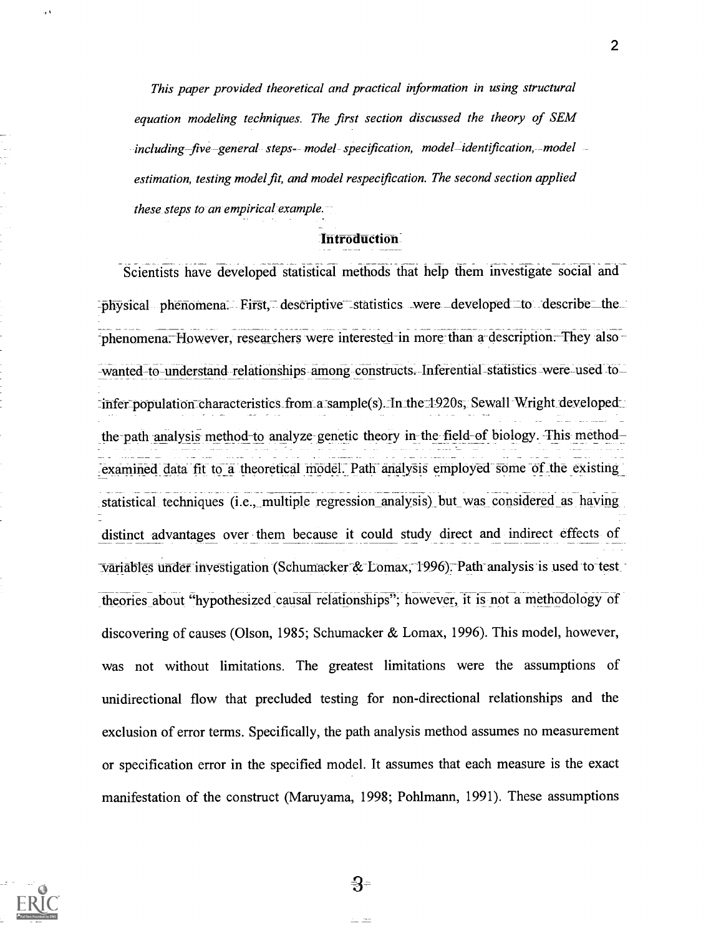This paper provided theoretical and practical information in using structural equation modeling techniques. The first section discussed the theory of SEM including five general steps-- model-specification, model -identification, -model estimation, testing model fit, and model respecification. The second section applied these steps to an empirical example.

#### Introduction

Scientists have developed statistical methods that help them investigate social and -physical phenomena. First, descriptive statistics were developed to describe the -phenomena. However, researchers were interested in more than a description. They also -wanted-to-understand relationships among constructs. Inferential statistics were used to  $\exists$ infer\_population\_characteristics\_from\_a\_sample(s). In\_the $\exists$ 1920s, Sewall Wright developed the-path analysis method-to analyze genetic theory in the field-of biology. This methodexamined data fit to a theoretical model. Path analysis employed some of the existing statistical techniques (i.e., multiple regression analysis) but was considered as having distinct advantages over them because it could study direct and indirect effects of variables under investigation (Schumacker & Lomax, 1996). Path analysis is used to test theories about "hypothesized causal relationships"; however, it is not a methodology of discovering of causes (Olson, 1985; Schumacker & Lomax, 1996). This model, however, was not without limitations. The greatest limitations were the assumptions of unidirectional flow that precluded testing for non-directional relationships and the exclusion of error terms. Specifically, the path analysis method assumes no measurement or specification error in the specified model. It assumes that each measure is the exact manifestation of the construct (Maruyama, 1998; Pohlmann, 1991). These assumptions



-3-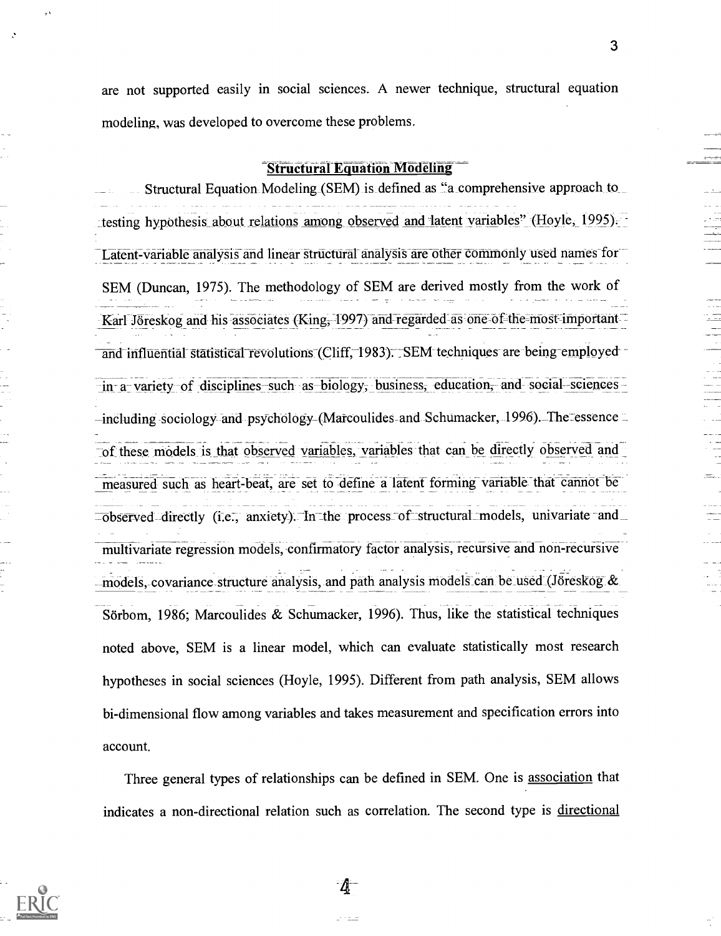are not supported easily in social sciences. A newer technique, structural equation modeling, was developed to overcome these problems.

#### **Structural Equation Modeling**

Structural Equation Modeling (SEM) is defined as "a comprehensive approach to \_testing hypothesis about relations among observed and latent variables" (Hoyle, 1995). Latent-variable analysis and linear structural analysis are other commonly used names for SEM (Duncan, 1975). The methodology of SEM are derived mostly from the work of Karl Jöreskog and his associates (King, 1997) and regarded as one of the most important and influential statistical revolutions (Cliff, 1983). SEM techniques are being employedin- a-variety-of disciplines-such as-biology, business, education, and social-sciences- $-$ including -sociology-and -psychology (Marcoulides-and Schumacker, 1996). The ressence of these models is that observed variables, variables that can be directly observed and measured such as heart-beat, are set to define a latent forming variable that cannot be  $\overline{-}$ observed-directly (i.e., anxiety). In the process of structural models, univariate and multivariate regression models, confirmatory factor analysis, recursive and non-recursive  $-$ models,-covariance structure analysis, and path analysis models can be used (Jöreskog & Sörbom, 1986; Marcoulides & Schumacker, 1996). Thus, like the statistical techniques noted above, SEM is a linear model, which can evaluate statistically most research hypotheses in social sciences (Hoyle, 1995). Different from path analysis, SEM allows bi-dimensional flow among variables and takes measurement and specification errors into account.

Three general types of relationships can be defined in SEM. One is association that indicates a non-directional relation such as correlation. The second type is directional



-4

3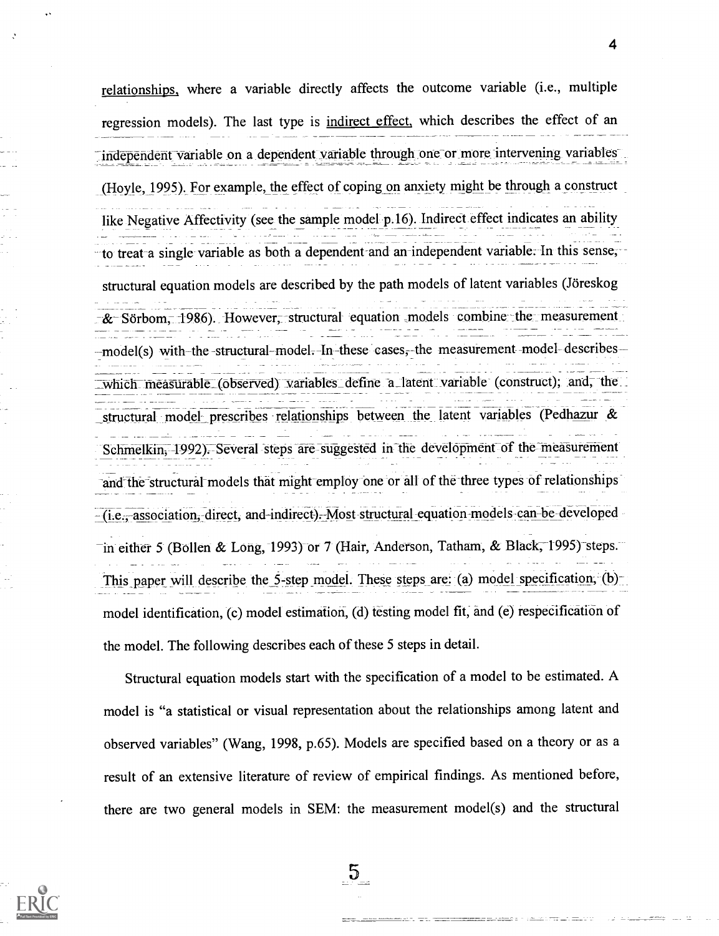relationships., where a variable directly affects the outcome variable (i.e., multiple regression models). The last type is indirect effect, which describes the effect of an independent variable on a dependent variable through one or more intervening variables (Hoyle, 1995). For example, the effect of coping on anxiety might be through a construct like Negative Affectivity (see the sample model p.16). Indirect effect indicates an ability to treat a single variable as both a dependent and an independent variable. In this sense, structural equation models are described by the path models of latent variables (Jöreskog & Sörbom, 1986). However, structural equation models combine the measurement -model(s) with-the -structural-model. In these cases, the measurement model describeswhich measurable (observed) variables define a latent variable (construct); and, the structural model prescribes relationships between the latent variables (Pedhazur & Schmelkin, 1992). Several steps are suggested in the development of the measurement and the structural models that might employ one or all of the three types of relationships  $-(i.e., association, direct, and-indirect). Most structural equation models can be developed$ in either 5 (Bollen & Long, 1993) or 7 (Hair, Anderson, Tatham, & Black, 1995) steps. This paper will describe the 5-step model. These steps are: (a) model specification, (b)model identification, (c) model estimation, (d) testing model fit, and (e) respecification of the model. The following describes each of these 5 steps in detail.

Structural equation models start with the specification of a model to be estimated. A model is "a statistical or visual representation about the relationships among latent and observed variables" (Wang, 1998, p.65). Models are specified based on a theory or as a result of an extensive literature of review of empirical findings. As mentioned before, there are two general models in SEM: the measurement model(s) and the structural

 $5\overline{)}$ 

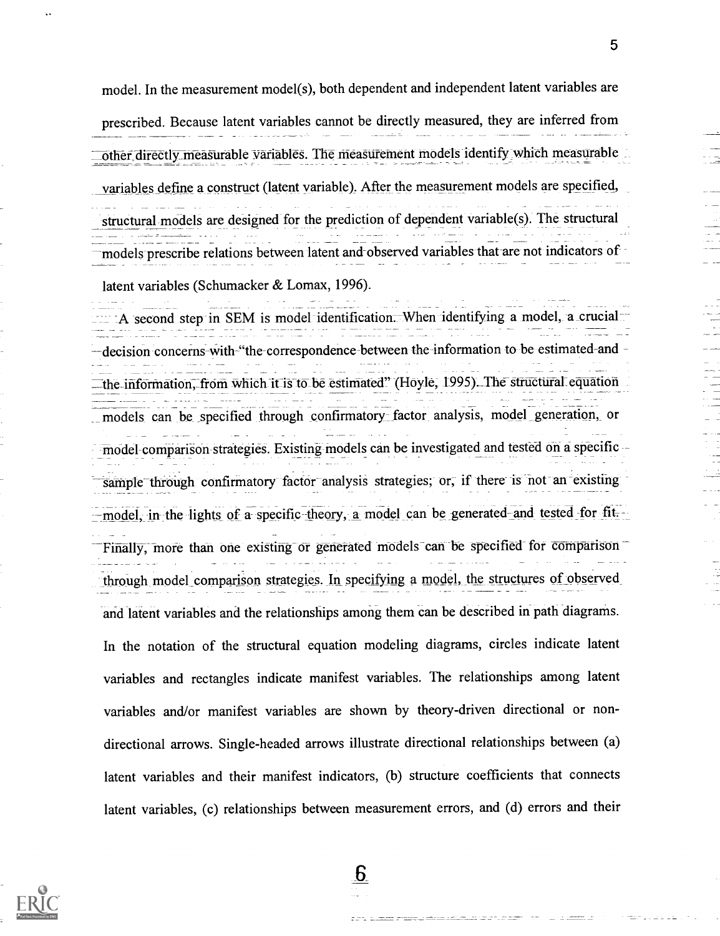model. In the measurement model(s), both dependent and independent latent variables are prescribed. Because latent variables cannot be directly measured, they are inferred from other directly measurable variables. The measurement models identify which measurable variables define a construct (latent variable). After the measurement models are specified, structural models are designed for the prediction of dependent variable(s). The structural models prescribe relations between latent and-observed variables that are not indicators of latent variables (Schumacker & Lomax, 1996).

 $A$  second step in SEM is model identification. When identifying a model, a crucial--decision concerns-with-"the-correspondence between the-information to be estimated-and the information, from which it is to be estimated" (Hoyle, 1995). The structural equation models can be specified through confirmatory factor analysis, model generation, or model comparison strategies. Existing models can be investigated and tested on a specific sample through confirmatory factor analysis strategies; or, if there is not an existing -model, in the lights of a specific theory, a model can be generated and tested for fit. Finally, more than one existing or generated models can be specified for comparison through model comparison strategies. In specifying a model, the structures of observed and latent variables and the relationships among them can be described in path diagrams. In the notation of the structural equation modeling diagrams, circles indicate latent variables and rectangles indicate manifest variables. The relationships among latent variables and/or manifest variables are shown by theory-driven directional or nondirectional arrows. Single-headed arrows illustrate directional relationships between (a) latent variables and their manifest indicators, (b) structure coefficients that connects latent variables, (c) relationships between measurement errors, and (d) errors and their

6

<u>tietu mainakous e</u>s

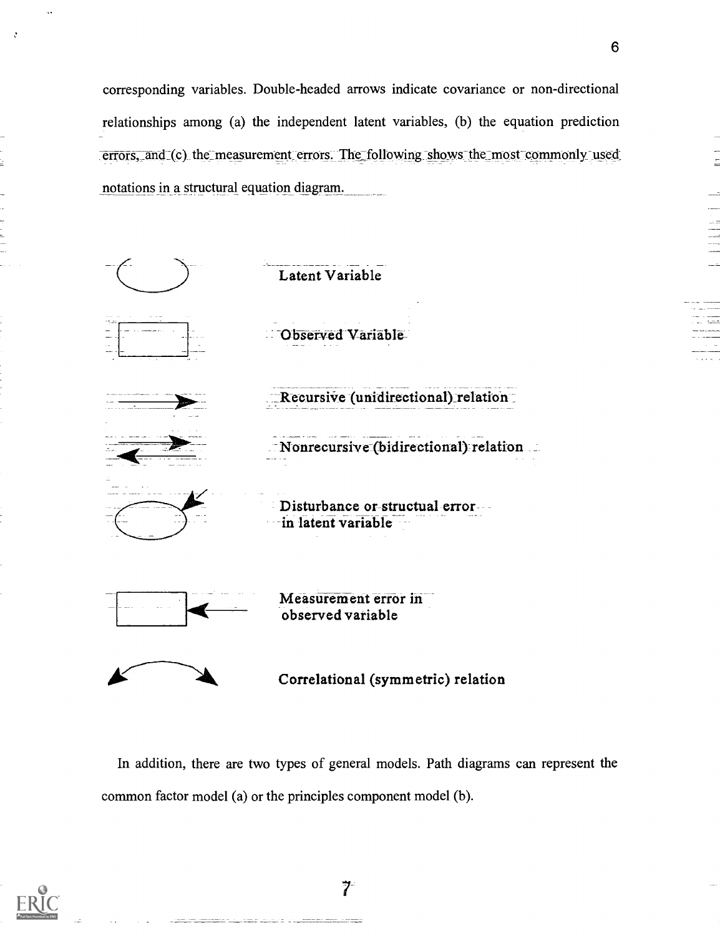corresponding variables. Double-headed arrows indicate covariance or non-directional relationships among (a) the independent latent variables, (b) the equation prediction errors, and (c) the measurement errors. The following shows the most commonly used notations in a structural equation diagram.



In addition, there are two types of general models. Path diagrams can represent the common factor model (a) or the principles component model (b).



 $7 -$ 

 $\frac{1}{2}$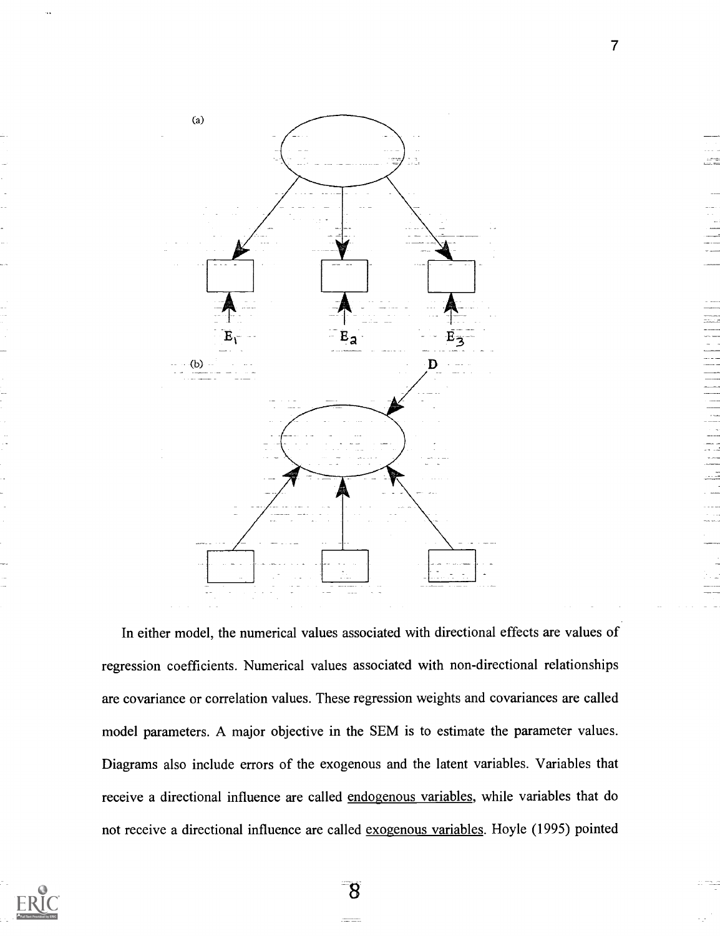

In either model, the numerical values associated with directional effects are values of regression coefficients. Numerical values associated with non-directional relationships are covariance or correlation values. These regression weights and covariances are called model parameters. A major objective in the SEM is to estimate the parameter values. Diagrams also include errors of the exogenous and the latent variables. Variables that receive a directional influence are called endogenous variables, while variables that do not receive a directional influence are called exogenous variables. Hoyle (1995) pointed



8

7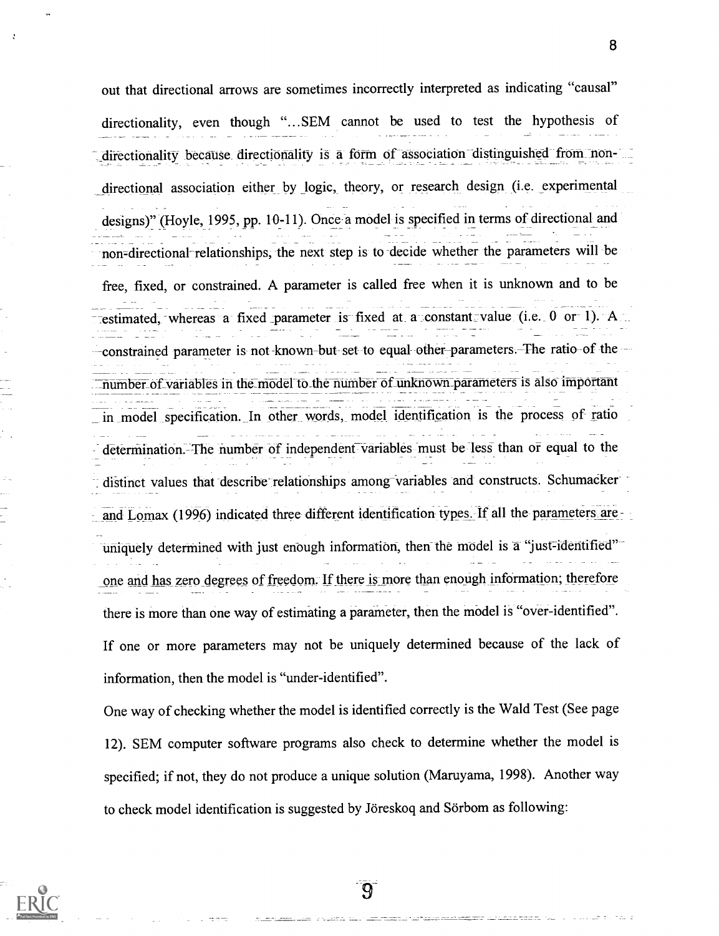out that directional arrows are sometimes incorrectly interpreted as indicating "causal" directionality, even though "...SEM cannot be used to test the hypothesis of directionality because directionality is a form of association distinguished from nondirectional association either by logic, theory, or research design (i.e. experimental designs)" (Hoyle, 1995, pp. 10-11). Once a model is specified in terms of directional and non=directional-relationships, the next step is to decide whether the parameters will be free, fixed, or constrained. A parameter is called free when it is unknown and to be estimated, whereas a fixed parameter is fixed at a constant value (i.e. 0 or 1). A constrained parameter is not known-but set to equal other parameters. The ratio of the number\_of\_variables in the\_model to\_the number of\_linknown\_parameters is also important in model specification. In other words, model identification is the process of ratio determination. The number of independent variables must be less than or equal to the distinct values that describe relationships among variables and constructs. Schumacker and Lomax (1996) indicated three different identification types. If all the parameters are uniquely determined with just enough information, then the model is a "just-identified" one and has zero degrees of freedom. If there is more than enough information; therefore there is more than one way of estimating a parameter, then the model is "over-identified". If one or more parameters may not be uniquely determined because of the lack of information, then the model is "under-identified".

One way of checking whether the model is identified correctly is the Wald Test (See page 12). SEM computer software programs also check to determine whether the model is specified; if not, they do not produce a unique solution (Maruyama, 1998). Another way to check model identification is suggested by Jöreskoq and Sörbom as following:

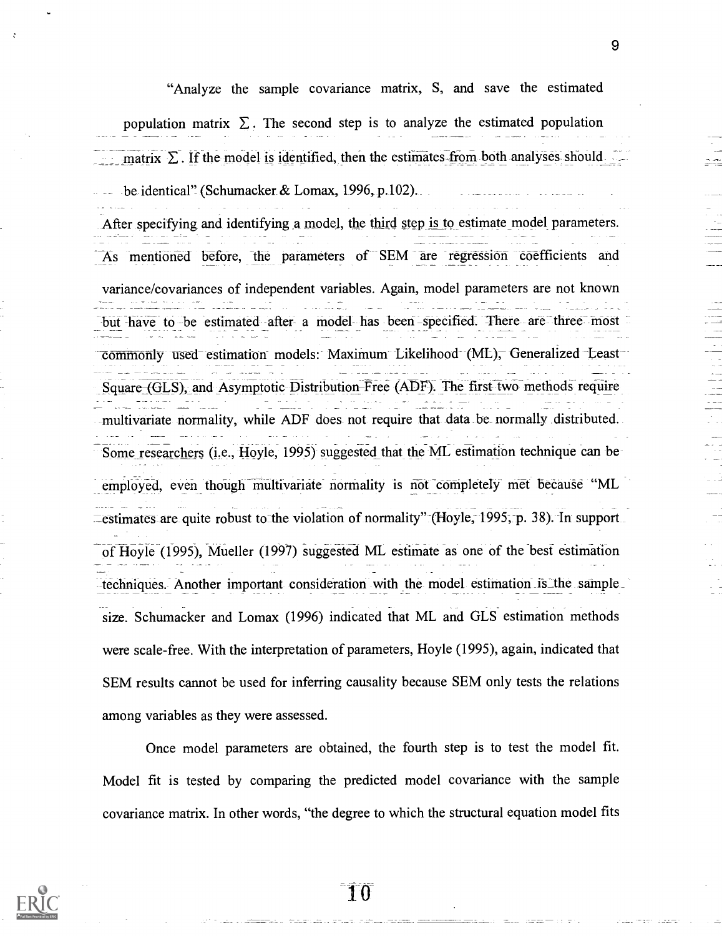"Analyze the sample covariance matrix, S, and save the estimated population matrix  $\Sigma$ . The second step is to analyze the estimated population matrix  $\Sigma$ . If the model is identified, then the estimates-from both analyses should be identical" (Schumacker & Lomax, 1996, p.102). . After specifying and identifying a model, the third step is to estimate model parameters. As mentioned before, the parameters of SEM are regression coefficients and

variance/covariances of independent variables. Again, model parameters are not known but have to be estimated after a model has been -specified. There are three most commonly used estimation models: Maximum Likelihood (ML), Generalized Least Square-(GLS), and Asymptotic Distribution-Free (ADF). The first two methods require multivariate normality, while ADF does not require that data be normally distributed. Some researchers (i.e., Hoyle, 1995) suggested that the ML estimation technique can be employed, even though multivariate normality is not completely met because "ML \_estimates are quite robust to-the violation of normality"-(Hoyle, 1995-,-p. 38). In support of Hoyle (1995), Mueller (1997) suggested ML estimate as one of the best estimation techniques. Another important consideration with the model estimation is the sample size. Schumacker and Lomax (1996) indicated that ML and GLS estimation methods were scale-free. With the interpretation of parameters, Hoyle (1995), again, indicated that SEM results cannot be used for inferring causality because SEM only tests the relations among variables as they were assessed.

Once model parameters are obtained, the fourth step is to test the model fit. Model fit is tested by comparing the predicted model covariance with the sample covariance matrix. In other words, "the degree to which the structural equation model fits



10

9

医三角 医二角 医二角 医二角的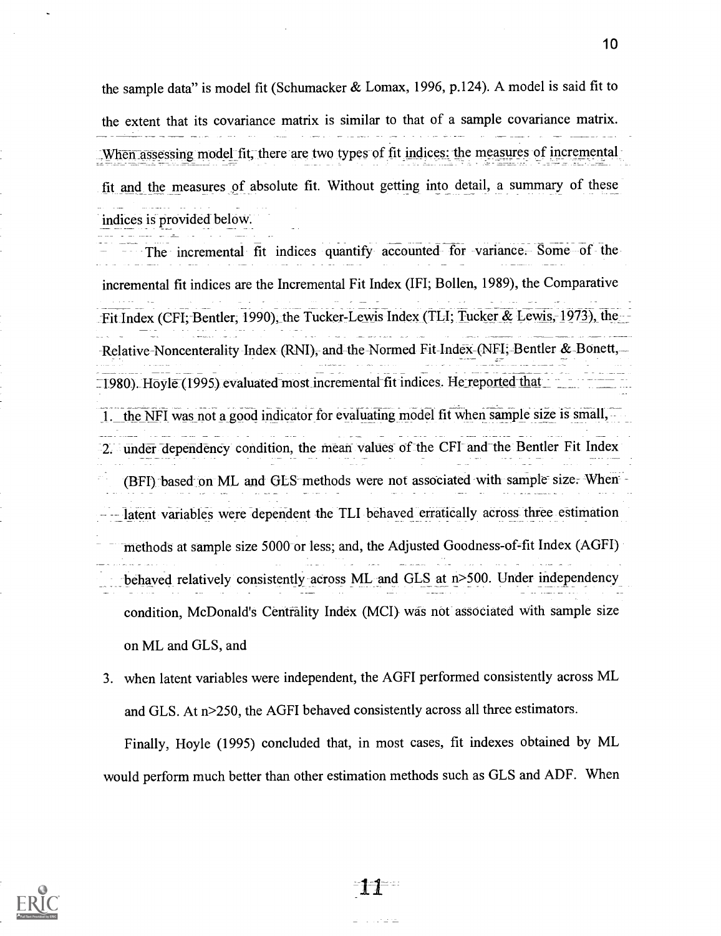the sample data" is model fit (Schumacker & Lomax, 1996, p.124). A model is said fit to the extent that its covariance matrix is similar to that of a sample covariance matrix. When assessing model fit, there are two types of fit indices: the measures of incremental fit and the measures of absolute fit. Without getting into detail, a summary of these indices is provided below.

The incremental fit indices quantify accounted for variance. Some of the incremental fit indices are the Incremental Fit Index (IFI; Bollen, 1989), the Comparative -Fit Index (CFI; Bentler, 1990), the Tucker-Lewis Index (TLI; Tucker & Lewis, 1973), the -Relative-Noncenterality Index (RNI), and the Normed Fit-Index-(NFI,-Bentler & Bonett,  $1980$ ). Hoyle (1995) evaluated most incremental fit indices. He reported that 1. the NFI was not a good indicator for evaluating model fit when sample size is small, 2. under dependency condition, the mean values of the CFI and the Bentler Fit Index (BFI) based on ML and GLS-methods were not associated with sample-size. When latent variables were dependent the TLI behaved erratically across three estimation methods at sample size 5000 or less; and, the Adjusted Goodness-of-fit Index (AGFI) behaved relatively consistently across ML and GLS at n>500. Under independency condition, McDonald's Centrality Index (MCI) was not associated with sample size on ML and GLS, and

3. when latent variables were independent, the AGFI performed consistently across ML and GLS. At n>250, the AGFI behaved consistently across all three estimators.

Finally, Hoyle (1995) concluded that, in most cases, fit indexes obtained by ML would perform much better than other estimation methods such as GLS and ADF. When



 $\alpha$  , and  $\alpha$  , and  $\alpha$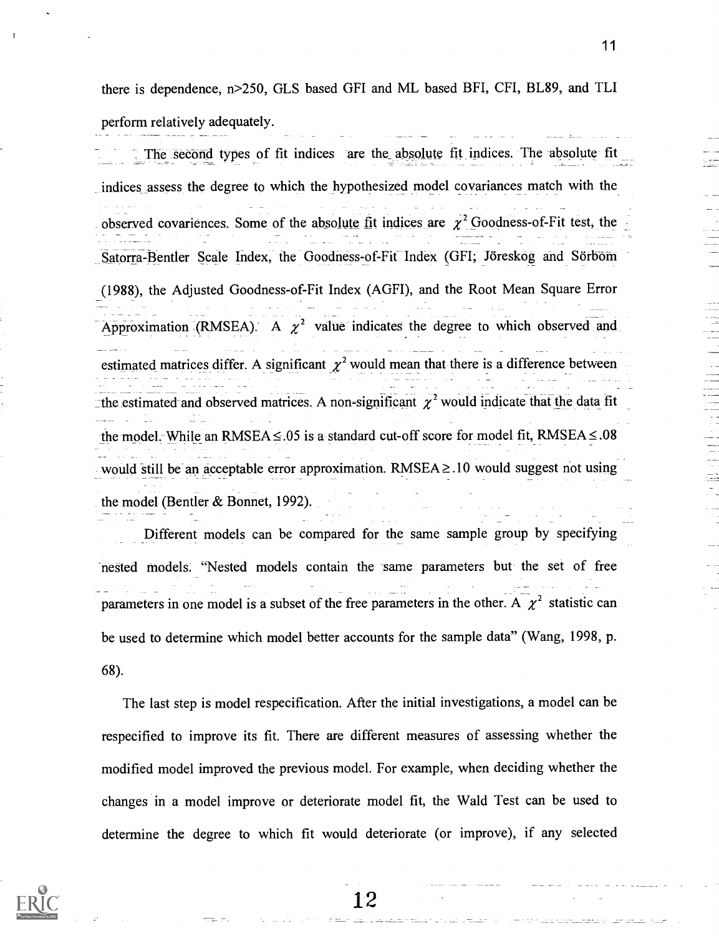there is dependence, n>250, GLS based GFI and ML based BFI, CFI, BL89, and TLI perform relatively adequately.

The second types of fit indices are the absolute fit indices. The absolute fit indices assess the degree to which the hypothesized model covariances match with the observed covariences. Some of the absolute fit indices are  $\chi^2$  Goodness-of-Fit test, the Satorra-Bentler Scale Index, the Goodness-of-Fit Index (GFI; Joreskog and Sorbom (1988), the Adjusted Goodness-of-Fit Index (AGFI), and the Root Mean Square Error Approximation (RMSEA). A  $\chi^2$  value indicates the degree to which observed and estimated matrices differ. A significant  $\chi^2$  would mean that there is a difference between the estimated and observed matrices. A non-significant  $\chi^2$  would indicate that the data fit the model. While an RMSEA  $\leq 0.05$  is a standard cut-off score for model fit, RMSEA  $\leq 0.08$ would still be an acceptable error approximation.  $RMSEA \geq 10$  would suggest not using the model (Bentler & Bonnet, 1992).

Different models can be compared for the same sample group by specifying nested models. "Nested models contain the same parameters but the set of free parameters in one model is a subset of the free parameters in the other. A  $\chi^2$  statistic can be used to determine which model better accounts for the sample data" (Wang, 1998, p. 68).

The last step is model respecification. After the initial investigations, a model can be respecified to improve its fit. There are different measures of assessing whether the modified model improved the previous model. For example, when deciding whether the changes in a model improve or deteriorate model fit, the Wald Test can be used to determine the degree to which fit would deteriorate (or improve), if any selected

12



11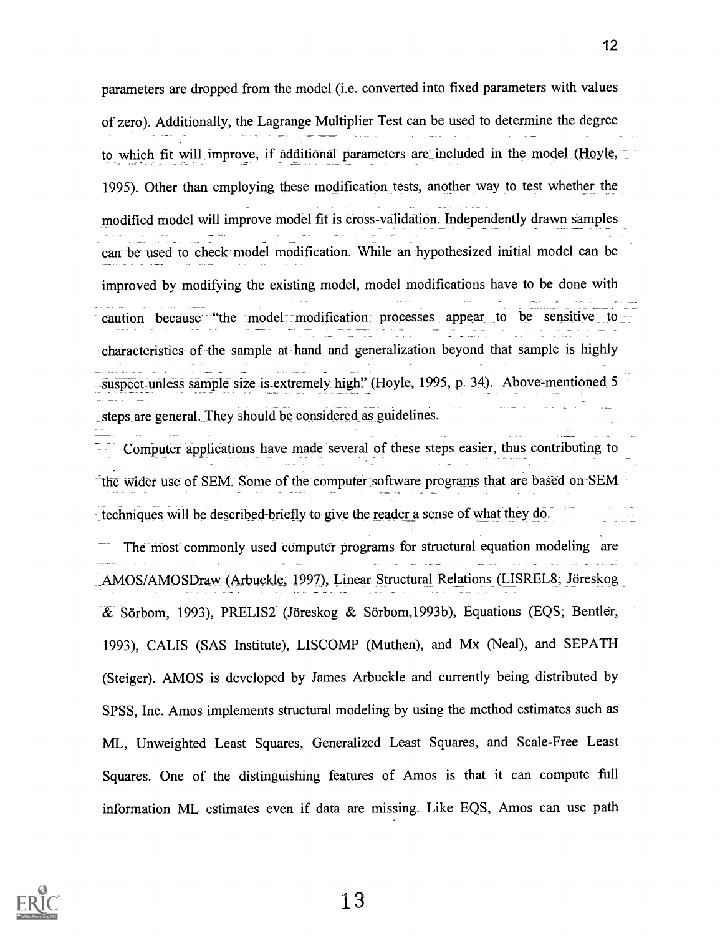parameters are dropped from the model (i.e. converted into fixed parameters with values of zero). Additionally, the Lagrange Multiplier Test can be used to determine the degree to which fit will improve, if additional parameters are\_included in the model (Hoyle, 1995). Other than employing these modification tests, another way to test whether the modified model will improve model fit is cross-validation. Independently drawn samples can be used to check model modification. While an hypothesized initial model- can -beimproved by modifying the existing model, model modifications have to be done with caution because "the model modification processes appear to be sensitive to characteristics of the sample at hand and generalization beyond that-sample-is highly suspect-unless sample size is\_extremely high" (Hoyle, 1995, p. 34). Above-mentioned 5 \_steps are general. They should be considered as guidelines.

Computer applications have made several of these steps easier, thus contributing to the wider use of SEM. Some of the computer software programs that are based on-SEM techniques will be described-briefly to give the reader a sense of what they do. The most commonly used computer programs for structural equation modeling-are AMOS/AMOSDraw (Arbuckle, 1997), Linear Structural Relations (LISREL8; Jöreskog & Sorbom, 1993), PRELIS2 (Joreskog & Sorbom,1993b), Equations (EQS; Bender, 1993), CALIS (SAS Institute), LISCOMP (Muthen), and Mx (Neal), and SEPATH (Steiger). AMOS is developed by James Arbuckle and currently being distributed by SPSS, Inc. Amos implements structural modeling by using the method estimates such as ML, Unweighted Least Squares, Generalized Least Squares, and Scale-Free Least

information ML estimates even if data are missing. Like EQS, Amos can use path

Squares. One of the distinguishing features of Amos is that it can compute full

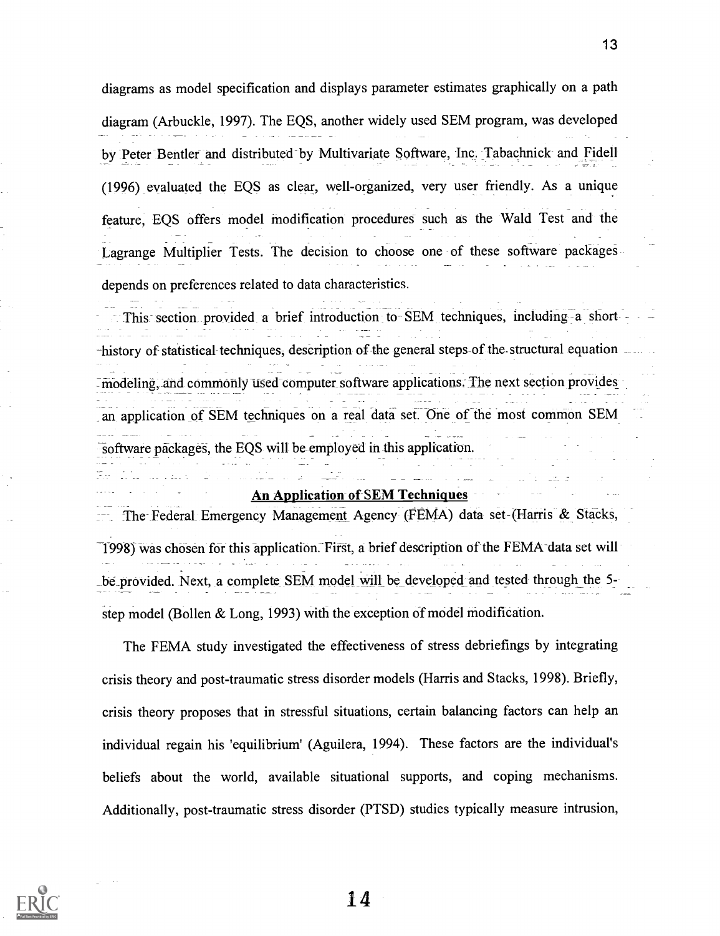diagrams as model specification and displays parameter estimates graphically on a path diagram (Arbuckle, 1997). The EQS, another widely used SEM program, was developed by Peter Bentler and distributed by Multivariate Software, Inc. Tabachnick and Fidell (1996) evaluated the EQS as clear, well-organized, very user friendly. As a unique feature, EQS offers model modification procedures such as the Wald Test and the Lagrange Multiplier Tests. The decision to choose one of these software packages depends on preferences related to data characteristics.

This section provided a brief introduction to SEM techniques, including a short -history of statistical techniques, description of the general steps of the structural equation.  $\overline{\cdot}$  modeling, and commonly used computer software applications. The next section provides an application of SEM techniques on a real data set. One of the most common SEM software packages, the EQS will be employed in this application.

#### An Application of SEM Techniques

The Federal Emergency Management Agency (FEMA) data set- (Harris & Stacks, 1998) was chosen for this application. First, a brief description of the FEMA data set will \_be\_provided. Next, a complete SEM model will be developed and tested through the 5 step model (Bollen & Long, 1993) with the exception of model modification.

The FEMA study investigated the effectiveness of stress debriefings by integrating crisis theory and post-traumatic stress disorder models (Harris and Stacks, 1998). Briefly, crisis theory proposes that in stressful situations, certain balancing factors can help an individual regain his 'equilibrium' (Aguilera, 1994). These factors are the individual's beliefs about the world, available situational supports, and coping mechanisms. Additionally, post-traumatic stress disorder (PTSD) studies typically measure intrusion,

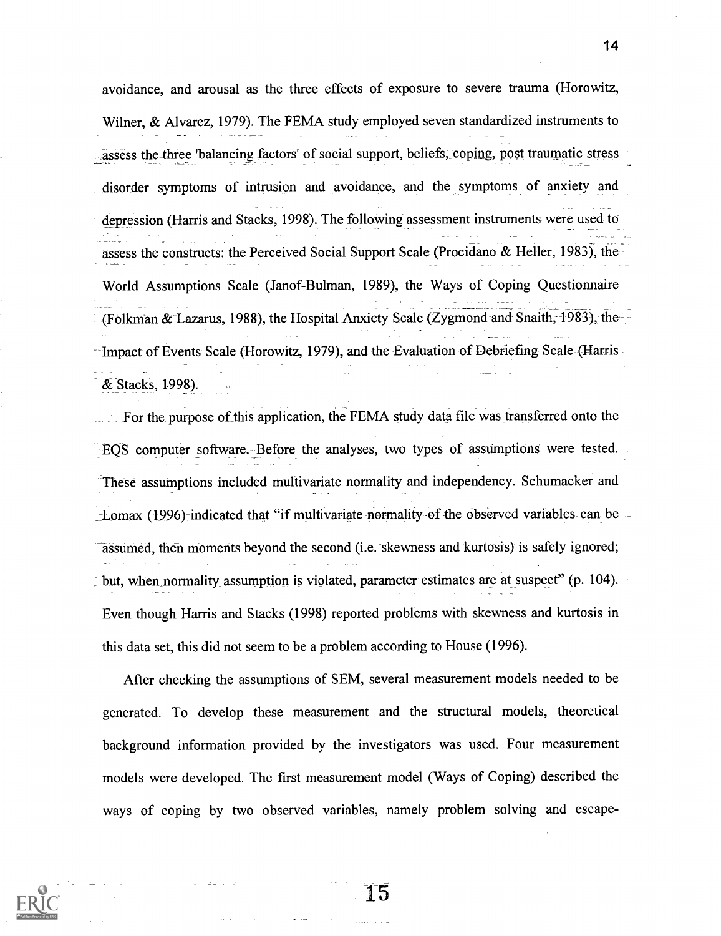avoidance, and arousal as the three effects of exposure to severe trauma (Horowitz, Wilner, & Alvarez, 1979). The FEMA study employed seven standardized instruments to assess the three 'balancing factors' of social support, beliefs, coping, post traumatic stress disorder symptoms of intrusion and avoidance, and the symptoms of anxiety and depression (Harris and Stacks, 1998). The following assessment instruments were used to assess the constructs: the Perceived Social Support Scale (Procidano & Heller, 1983), the World Assumptions Scale (Janof-Bulman, 1989), the Ways of Coping Questionnaire (Folkman & Lazarus, 1988), the Hospital Anxiety Scale (Zygmond and Snaith, 1983), the Impact of Events Scale (Horowitz, 1979), and the Evaluation of Debriefing Scale (Harris & Stacks, 1998).

For the purpose of this application, the FEMA study data file was transferred onto the EQS computer software. Before the analyses, two types of assumptions were tested. These assumptions included multivariate normality and independency. Schumacker and . -Lomax (1996) indicated that "if multivariate-normality-of-the observed variables- can be assumed, then moments beyond the second (i.e. skewness and kurtosis) is safely ignored; but, when normality assumption is violated, parameter estimates are at suspect" (p. 104). Even though Harris and Stacks (1998) reported problems with skewness and kurtosis in this data set, this did not seem to be a problem according to House (1996).

After checking the assumptions of SEM, several measurement models needed to be generated. To develop these measurement and the structural models, theoretical background information provided by the investigators was used. Four measurement models were developed. The first measurement model (Ways of Coping) described the ways of coping by two observed variables, namely problem solving and escape-

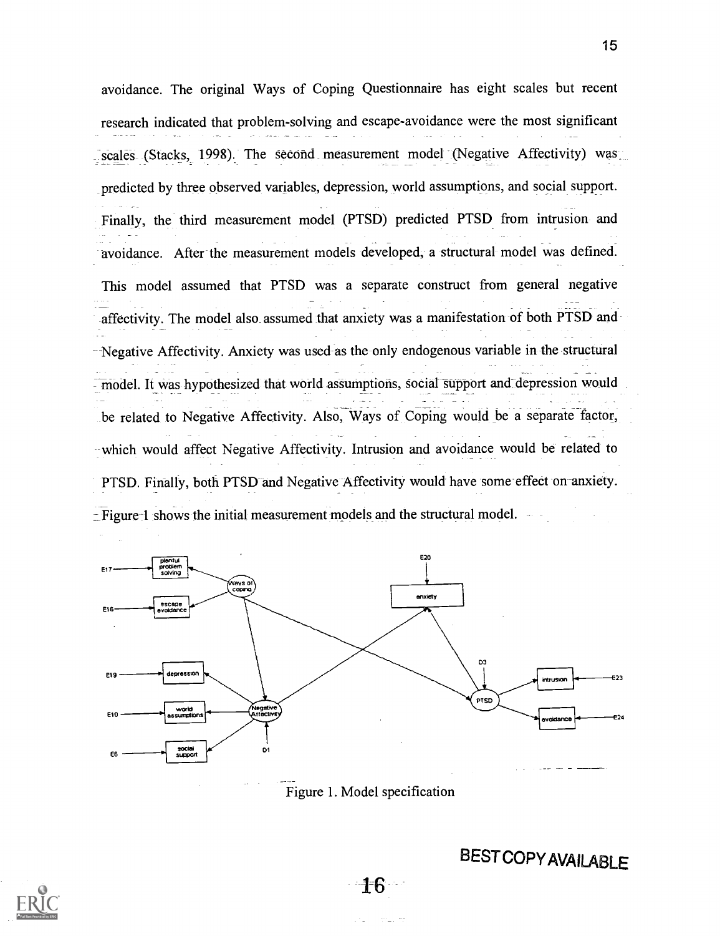avoidance. The original Ways of Coping Questionnaire has eight scales but recent research indicated that problem-solving and escape-avoidance were the most significant scales (Stacks, 1998). The second measurement model (Negative Affectivity) was predicted by three observed variables, depression, world assumptions, and social support. Finally, the third measurement model (PTSD) predicted PTSD from intrusion and avoidance. After the measurement models developed, a structural model was defined. This model assumed that PTSD was a separate construct from general negative affectivity. The model also assumed that anxiety was a manifestation of both PTSD and Negative Affectivity. Anxiety was used-as the only endogenous variable in the structural model. It was hypothesized that world assumptions, social support and depression would be related to Negative Affectivity. Also, Ways of Coping would be a separate factor, which would affect Negative Affectivity. Intrusion and avoidance would be related to PTSD. Finally, both PTSD and Negative Affectivity would have some effect on anxiety. \_Figure 1 shows the initial measurement models and the structural model.



Figure 1. Model specification

**BESTCOPY AVAILABLE** 

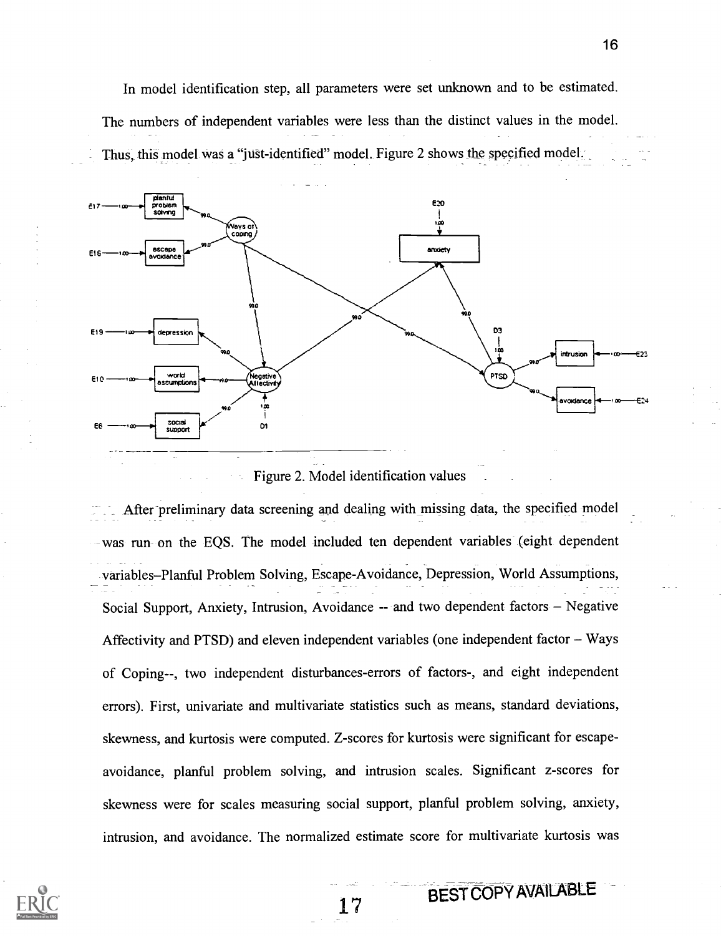In model identification step, all parameters were set unknown and to be estimated. The numbers of independent variables were less than the distinct values in the model. Thus, this model was a "just- identified" model. Figure 2 shows the specified model.



Figure 2. Model identification values

After preliminary data screening and dealing with missing data, the specified model was run- on the EQS. The model included ten dependent variables (eight dependent variables-Planful Problem Solving, Escape-Avoidance, Depression, World Assumptions, Social Support, Anxiety, Intrusion, Avoidance  $-$  and two dependent factors  $-$  Negative Affectivity and PTSD) and eleven independent variables (one independent factor  $-$  Ways of Coping--, two independent disturbances-errors of factors-, and eight independent errors). First, univariate and multivariate statistics such as means, standard deviations, skewness, and kurtosis were computed. Z-scores for kurtosis were significant for escapeavoidance, planful problem solving, and intrusion scales. Significant z-scores for skewness were for scales measuring social support, planful problem solving, anxiety, intrusion, and avoidance. The normalized estimate score for multivariate kurtosis was

BEST COPY AVAILABLE

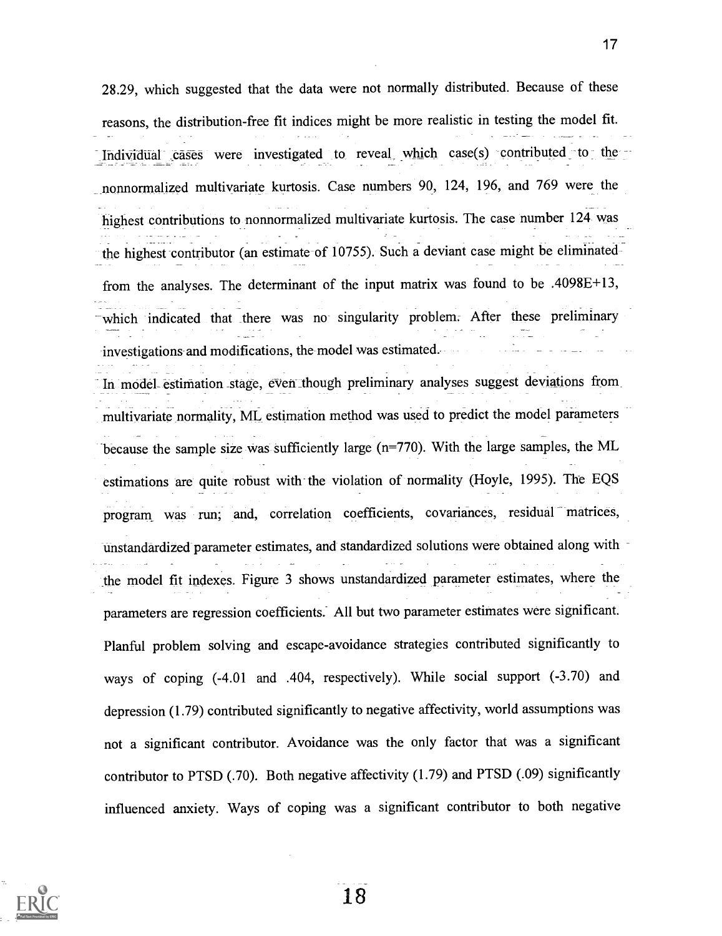28.29, which suggested that the data were not normally distributed. Because of these reasons, the distribution-free fit indices might be more realistic in testing the model fit. Individual cases were investigated to reveal which case(s) contributed to the nonnormalized multivariate kurtosis. Case numbers 90, 124, 196, and 769 were the highest contributions to nonnormalized multivariate kurtosis. The case number 124 was the highest contributor (an estimate of 10755). Such a deviant case might be eliminated from the analyses. The determinant of the input matrix was found to be .4098E+13, which indicated that there was no singularity problem. After these preliminary investigations and modifications, the model was estimated. In model estimation stage, even though preliminary analyses suggest deviations from multivariate normality, ML estimation method was used to predict the model parameters because the sample size was sufficiently large (n=770). With the large samples, the ML estimations are quite robust with the violation of normality (Hoyle, 1995). The EQS program was run; and, correlation coefficients, covariances, residual matrices, unstandardized parameter estimates, and standardized solutions were obtained along with

the model fit indexes. Figure 3 shows unstandardized parameter estimates, where the parameters are regression coefficients: All but two parameter estimates were significant. Planful problem solving and escape-avoidance strategies contributed significantly to ways of coping (-4.01 and .404, respectively). While social support (-3.70) and depression (1.79) contributed significantly to negative affectivity, world assumptions was not a significant contributor. Avoidance was the only factor that was a significant contributor to PTSD (.70). Both negative affectivity (1.79) and PTSD (.09) significantly influenced anxiety. Ways of coping was a significant contributor to both negative

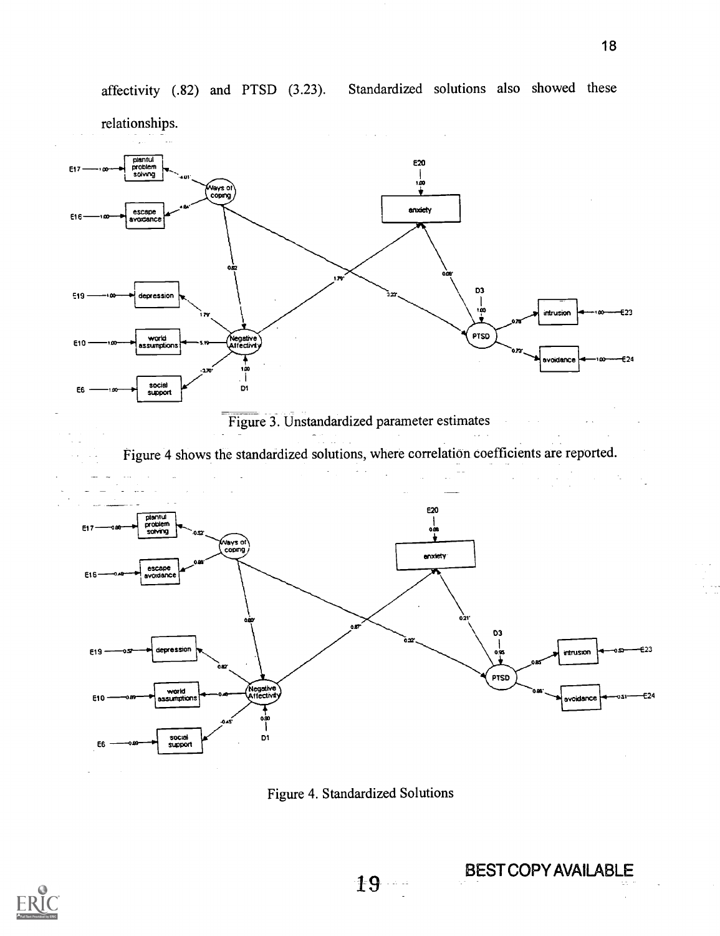

Figure 3. Unstandardized parameter estimates

Figure 4 shows the standardized solutions, where correlation coefficients are reported.



Figure 4. Standardized Solutions



19 BEST COPY AVAILABLE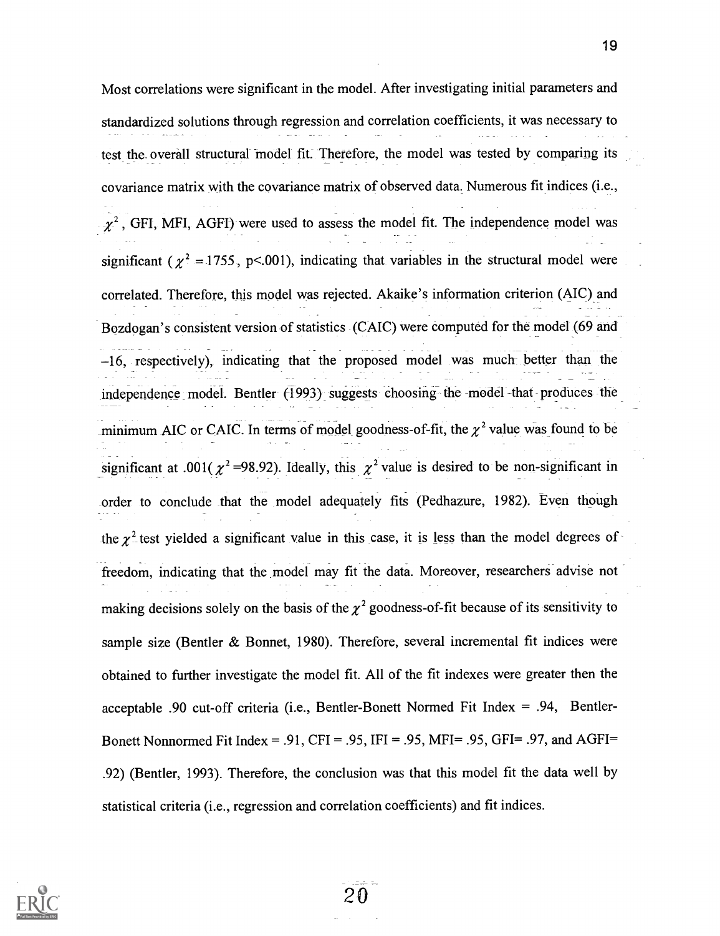Most correlations were significant in the model. After investigating initial parameters and standardized solutions through regression and correlation coefficients, it was necessary to test the overall structural model fit. Therefore, the model was tested by comparing its covariance matrix with the covariance matrix of observed data. Numerous fit indices (i.e.,  $\chi^2$ , GFI, MFI, AGFI) were used to assess the model fit. The independence model was significant ( $\chi^2$  = 1755, p<.001), indicating that variables in the structural model were correlated. Therefore, this model was rejected. Akaike's information criterion (AIC) and Bozdogan's consistent version of statistics (CAIC) were computed for the model (69 and 16, respectively), indicating that the proposed model was much better than the independence model. Bentler (1993) suggests choosing the model that produces the minimum AIC or CAIC. In terms of model goodness-of-fit, the  $\chi^2$  value was found to be significant at .001( $\chi^2$ =98.92). Ideally, this  $\chi^2$  value is desired to be non-significant in order to conclude that the model adequately fits (Pedhazure, 1982). Even though the  $\chi^2$  test yielded a significant value in this case, it is less than the model degrees of freedom, indicating that the model may fit the data. Moreover, researchers advise not making decisions solely on the basis of the  $\chi^2$  goodness-of-fit because of its sensitivity to sample size (Bentler & Bonnet, 1980). Therefore, several incremental fit indices were obtained to further investigate the model fit. All of the fit indexes were greater then the acceptable .90 cut-off criteria (i.e., Bentler-Bonett Normed Fit Index = .94, Bentler-Bonett Nonnormed Fit Index = .91, CFI = .95, IFI = .95, MFI= .95, GFI= .97, and AGFI= .92) (Bentler, 1993). Therefore, the conclusion was that this model fit the data well by statistical criteria (i.e., regression and correlation coefficients) and fit indices.

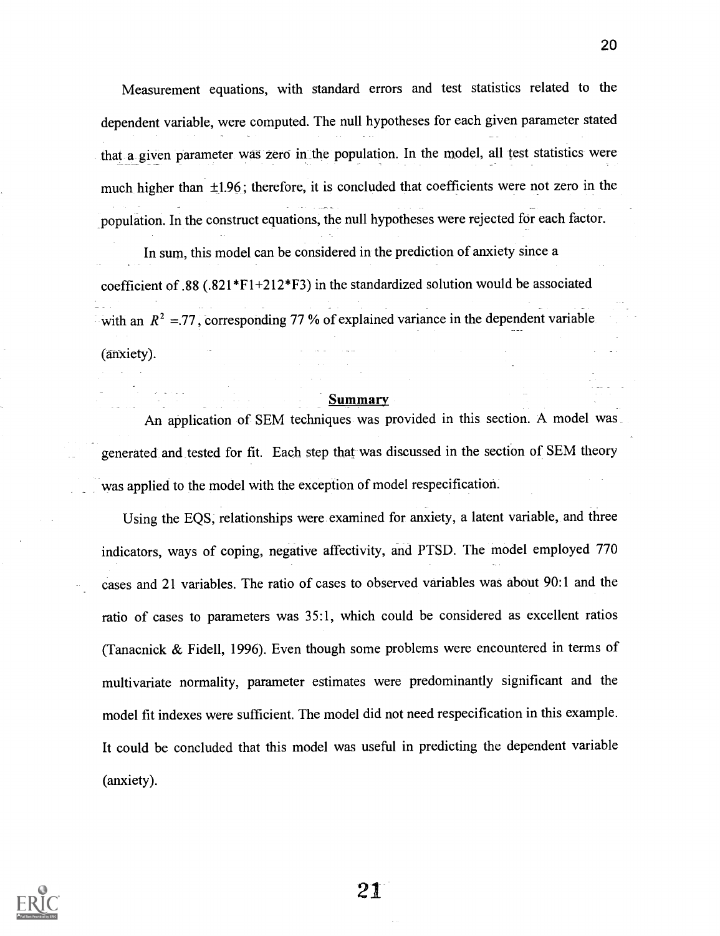Measurement equations, with standard errors and test statistics related to the dependent variable, were computed. The null hypotheses for each given parameter stated that a given parameter was zero in the population. In the model, all test statistics were much higher than  $\pm 1.96$ ; therefore, it is concluded that coefficients were not zero in the population. In the construct equations, the null hypotheses were rejected for each factor.

In sum, this model can be considered in the prediction of anxiety since a coefficient of .88 (.821\*F1+212\*F3) in the standardized solution would be associated with an  $R^2 = 77$ , corresponding 77 % of explained variance in the dependent variable. (anxiety).

#### Summary

An application of SEM techniques was provided in this section. A model was generated and tested for fit. Each step that was discussed in the section of SEM theory was applied to the model with the exception of model respecification.

Using the EQS, relationships were examined for anxiety, a latent variable, and three indicators, ways of coping, negative affectivity, and PTSD. The model employed 770 cases and 21 variables. The ratio of cases to observed variables was about 90:1 and the ratio of cases to parameters was 35:1, which could be considered as excellent ratios (Tanacnick & Fidell, 1996). Even though some problems were encountered in terms of multivariate normality, parameter estimates were predominantly significant and the model fit indexes were sufficient. The model did not need respecification in this example. It could be concluded that this model was useful in predicting the dependent variable (anxiety).

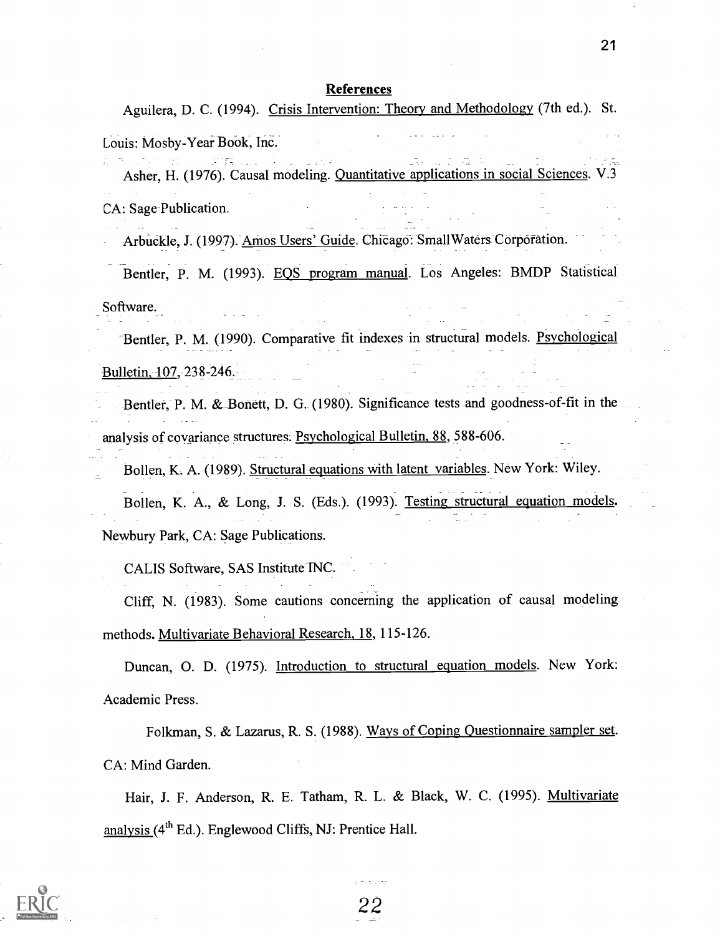Aguilera, D. C. (1994). Crisis Intervention: Theory and Methodology (7th ed.). St.

Louis: Mosby-Year Book, Inc.

Asher, H. (1976). Causal modeling. Quantitative applications in social Sciences. V.3 CA: Sage Publication.

Arbuckle, J. (1997). Amos Users' Guide. Chieago: SmallWaters Corporation.

Bentler, P. M. (1993). EQS program manual. Los Angeles: BMDP Statistical Software.

-Bender, P. M. (1990). Comparative fit indexes in structural models. Psychological Bulletin, 107, 238-246.

Bentler, P. M. &\_Bonett, D. G. (1980). Significance tests and goodness-of-fit in the analysis of covariance structures. Psychological Bulletin, 88, 588-606.

Bollen, K. A. (1989). Structural equations with latent variables. New York: Wiley. Bollen, K. A., & Long, J. S. (Eds.). (1993). Testing structural equation models. Newbury Park, CA: Sage Publications.

CALIS Software, SAS Institute INC.

Cliff, N. (1983). Some cautions concerning the application of causal modeling methods. Multivariate Behavioral Research, 18, 115-126.

Duncan, 0. D. (1975). Introduction to structural equation models. New York: Academic Press.

Folkman, S. & Lazarus, R. S. (1988). Ways of Coping Questionnaire sampler set. CA: Mind Garden.

Hair, J. F. Anderson, R. E. Tatham, R. L. & Black, W. C. (1995). Multivariate analysis (4th Ed.). Englewood Cliffs, NJ: Prentice Hall.

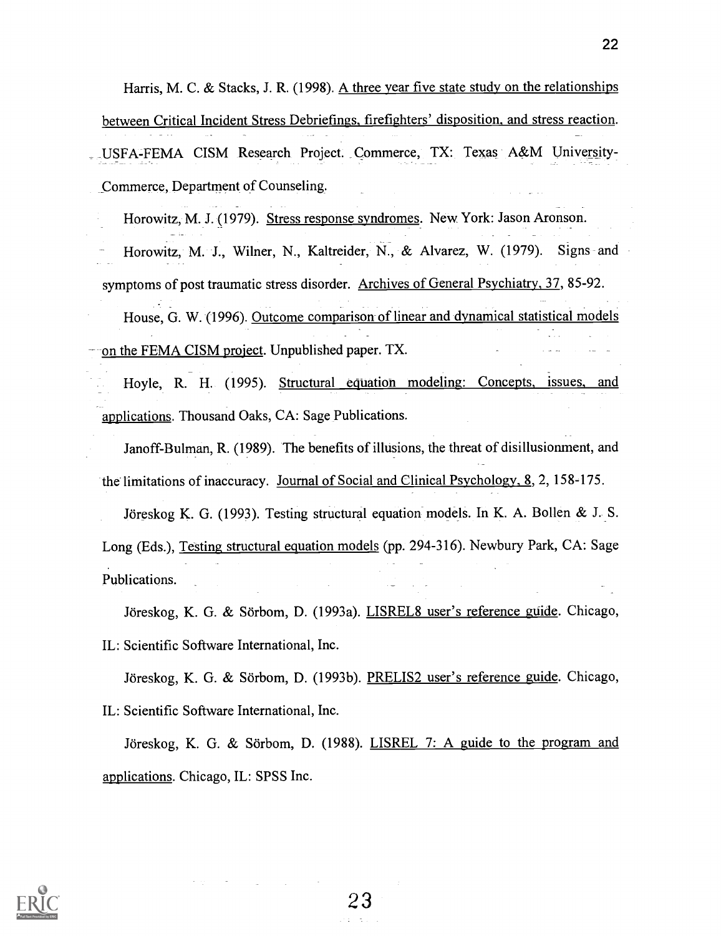Harris, M. C. & Stacks, J. R. (1998). A three year five state study on the relationships between Critical Incident Stress Debriefings, firefighters' disposition, and stress reaction. \_ USFA-FEMA CISM Research Project. Commerce, TX: Texas A&M University-

Commerce, Department of Counseling.

Horowitz, M. J. (1979). Stress response syndromes. New York: Jason Aronson.

Horowitz, M. J., Wilner, N., Kaltreider, N., & Alvarez, W. (1979). Signs-and symptoms of post traumatic stress disorder. Archives of General Psychiatry, 37, 85-92.

House, G. W. (1996). Outcome comparison of linear and dynamical statistical models on the FEMA CISM project. Unpublished paper. TX.

Hoyle, R. H. (1995). Structural equation modeling: Concepts, issues, and applications. Thousand Oaks, CA: Sage Publications.

Janoff-Bulman, R. (1989). The benefits of illusions, the threat of disillusionment, and the limitations of inaccuracy. Journal of Social and Clinical Psychology, 8, 2, 158-175.

Joreskog K. G. (1993). Testing structural equation models. In K. A. Bollen & J. S. Long (Eds.), Testing structural equation models (pp. 294-316). Newbury Park, CA: Sage Publications.

Jöreskog, K. G. & Sörbom, D. (1993a). LISREL8 user's reference guide. Chicago, IL: Scientific Software International, Inc.

Jöreskog, K. G. & Sörbom, D. (1993b). PRELIS2 user's reference guide. Chicago, IL: Scientific Software International, Inc.

Jöreskog, K. G. & Sörbom, D.  $(1988)$ . LISREL 7: A guide to the program and applications. Chicago, IL: SPSS Inc.

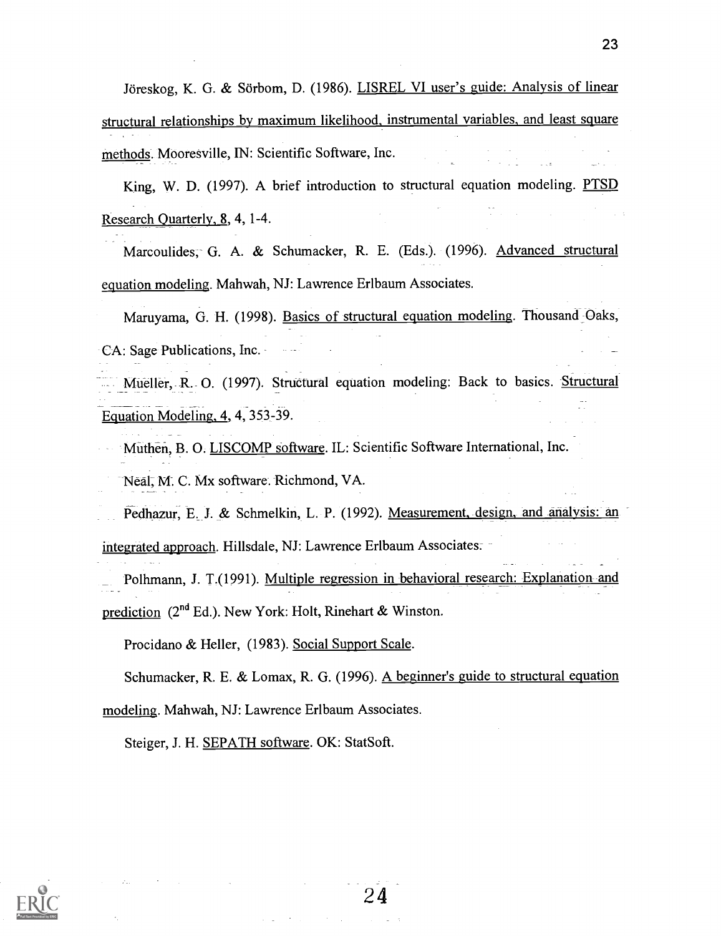Jöreskog, K. G. & Sörbom, D. (1986). LISREL VI user's guide: Analysis of linear structural relationships by maximum likelihood, instrumental variables, and least square methods. Mooresville, IN: Scientific Software, Inc.

King, W. D. (1997). A brief introduction to structural equation modeling. PTSD Research Quarterly, 8, 4, 1-4.

Marcoulides, G. A. & Schumacker, R. E. (Eds.). (1996). Advanced structural equation modeling. Mahwah, NJ: Lawrence Erlbaum Associates.

Maruyama, G. H. (1998). Basics of structural equation modeling. Thousand Oaks, CA: Sage Publications, Inc.

Mueller, R. O. (1997). Structural equation modeling: Back to basics. Structural Equation Modeling, 4, 4, 353-39.

Muthen, B. 0. LISCOMP software. IL: Scientific Software International, Inc. Neal, M. C. Mx software. Richmond, VA.

Pedhazur, E. J. & Schmelkin, L. P. (1992). Measurement, design, and analysis: an

integrated approach. Hillsdale, NJ: Lawrence Erlbaum Associates.

Polhmann, J. T.(1991). Multiple regression in behavioral research: Explanation and prediction (2"d Ed.). New York: Holt, Rinehart & Winston.

Procidano & Heller, (1983). Social Support Scale.

Schumacker, R. E. & Lomax, R. G. (1996). A beginner's guide to structural equation modeling. Mahwah, NJ: Lawrence Erlbaum Associates.

Steiger, J. H. SEPATH software. OK: StatSoft.

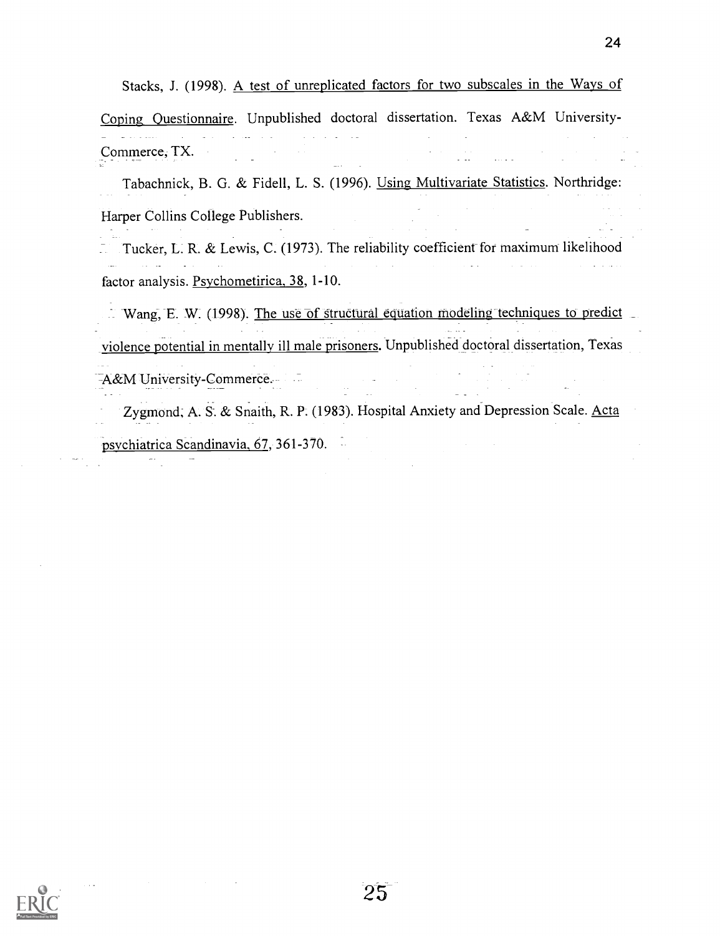Stacks, J. (1998). A test of unreplicated factors for two subscales in the Ways of Coping Questionnaire. Unpublished doctoral dissertation. Texas A&M University-

Commerce, TX.

Tabachnick, B. G. & Fidell, L. S. (1996). Using Multivariate Statistics. Northridge: Harper Collins College Publishers.

Tucker, L. R. & Lewis, C. (1973). The reliability coefficient for maximum likelihood factor analysis. Psychometirica, 38, 1-10.

Wang, E. W. (1998). The use of structural equation modeling techniques to predict violence potential in mentally ill male prisoners. Unpublished doctoral dissertation, Texas -A&M University-Commerce.

Zygmond, A. S. & Snaith, R. P. (1983). Hospital Anxiety and Depression Scale. Acta psychiatrica Scandinavia, 67, 361-370.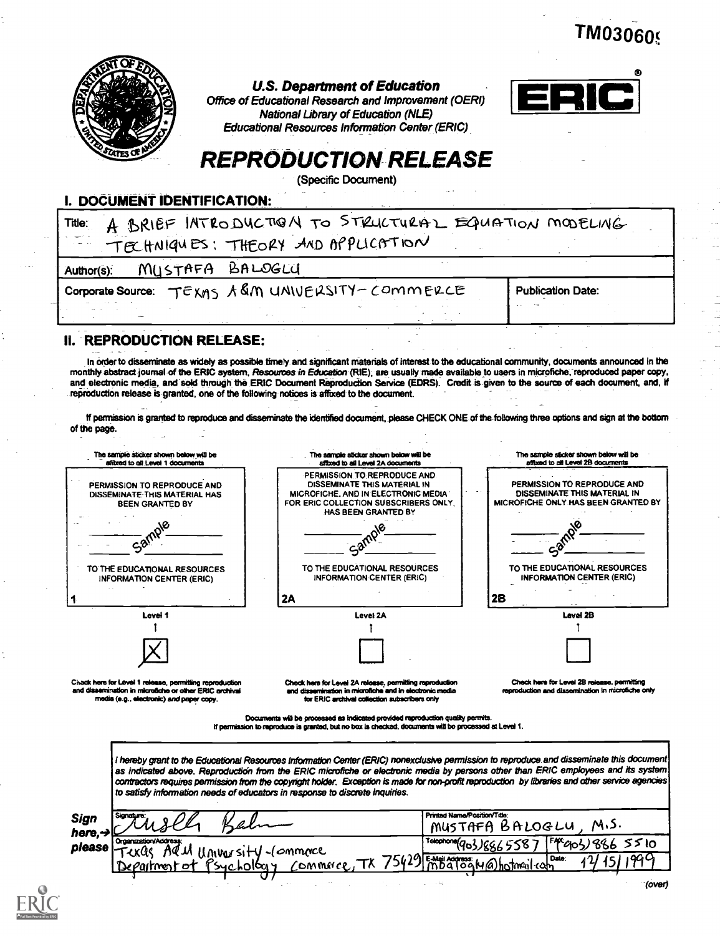**TM03060** 



#### U.S. Department of Education

Office of Educational Research and Improvement (OEM) National Library of Education (NLE) Educational Resources Information Center (ERIC)



# REPRODUCTION RELEASE

(Specific Document)

#### I. DOCUMENT IDENTIFICATION:

| Title:                        | A BRIEF INTRODUCTION TO STRUCTURAL EQUATION MODELING<br>TECHNIQUES: THEORY AND APPLICATION |                          |
|-------------------------------|--------------------------------------------------------------------------------------------|--------------------------|
| MUSTAFA BALOGLU<br>Author(s): | $\sim$ $\sim$                                                                              |                          |
|                               | Corporate Source: TEXMS A &M UNIVERSITY-COMMERCE                                           | <b>Publication Date:</b> |
|                               | $\sim$ $\sim$                                                                              |                          |

### II. REPRODUCTION RELEASE:

In order to disseminate as widely as possible timely and significant materials of interest to the educational community, documents announced in the monthly abstract journal of the ERIC system, Resources in Education (RIE), are usually made available to users in microfiche, reproduced paper copy, and electronic media, and sold through the ERIC Document Reproduction Service (EDRS). Credit is given to the source of each document, and, if reproduction release is granted, one of the following notices is affixed to the document

lf permission is granted to reproduce and disseminate the identified document, please CHECK ONE of the-following three options and sign at the bottom of the page.



as indicated above. Reproduction from the ERIC microfiche or electronic media by persons other than ERIC employees and its system contractors requires permission from the copyright holder. Exception a made for non-profit reproduction by libraries and other service agencies to satisfy information needs of educators in response to discrete Inquiries.

| Sign<br>$here, \rightarrow \subset$ | Signature:<br>TU SPL                                          | Printed Name/Position/Title:<br>MUSTAFA BALOGLU, M.S. |  |  |  |
|-------------------------------------|---------------------------------------------------------------|-------------------------------------------------------|--|--|--|
|                                     | Organization/Address:<br>please Texas AQU University-Commerce | 'Tolophone(903)8865587 F4203)8865510                  |  |  |  |
|                                     | Department of Psychology Commerce, TX                         | 75429 mbaloguas Habstmail com<br>15   1900            |  |  |  |
|                                     |                                                               |                                                       |  |  |  |